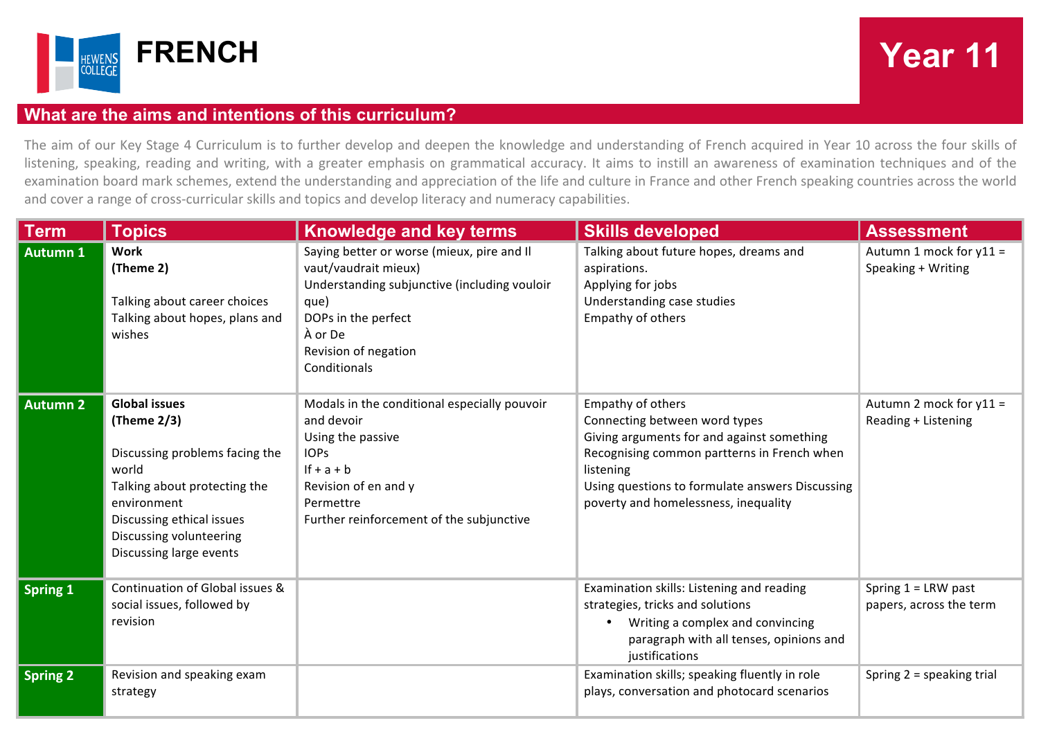

## **What are the aims and intentions of this curriculum?**

The aim of our Key Stage 4 Curriculum is to further develop and deepen the knowledge and understanding of French acquired in Year 10 across the four skills of listening, speaking, reading and writing, with a greater emphasis on grammatical accuracy. It aims to instill an awareness of examination techniques and of the examination board mark schemes, extend the understanding and appreciation of the life and culture in France and other French speaking countries across the world and cover a range of cross-curricular skills and topics and develop literacy and numeracy capabilities.

| <b>Term</b>     | <b>Topics</b>                                                                                                                                                                                                       | <b>Knowledge and key terms</b>                                                                                                                                                                       | <b>Skills developed</b>                                                                                                                                                                                                                                 | <b>Assessment</b>                                |
|-----------------|---------------------------------------------------------------------------------------------------------------------------------------------------------------------------------------------------------------------|------------------------------------------------------------------------------------------------------------------------------------------------------------------------------------------------------|---------------------------------------------------------------------------------------------------------------------------------------------------------------------------------------------------------------------------------------------------------|--------------------------------------------------|
| <b>Autumn 1</b> | <b>Work</b><br>(Theme 2)<br>Talking about career choices<br>Talking about hopes, plans and<br>wishes                                                                                                                | Saying better or worse (mieux, pire and Il<br>vaut/vaudrait mieux)<br>Understanding subjunctive (including vouloir<br>que)<br>DOPs in the perfect<br>À or De<br>Revision of negation<br>Conditionals | Talking about future hopes, dreams and<br>aspirations.<br>Applying for jobs<br>Understanding case studies<br>Empathy of others                                                                                                                          | Autumn 1 mock for y11 =<br>Speaking + Writing    |
| Autumn 2        | <b>Global issues</b><br>(Theme $2/3$ )<br>Discussing problems facing the<br>world<br>Talking about protecting the<br>environment<br>Discussing ethical issues<br>Discussing volunteering<br>Discussing large events | Modals in the conditional especially pouvoir<br>and devoir<br>Using the passive<br><b>IOPS</b><br>$If + a + b$<br>Revision of en and y<br>Permettre<br>Further reinforcement of the subjunctive      | Empathy of others<br>Connecting between word types<br>Giving arguments for and against something<br>Recognising common partterns in French when<br>listening<br>Using questions to formulate answers Discussing<br>poverty and homelessness, inequality | Autumn 2 mock for y11 =<br>Reading + Listening   |
| <b>Spring 1</b> | Continuation of Global issues &<br>social issues, followed by<br>revision                                                                                                                                           |                                                                                                                                                                                                      | Examination skills: Listening and reading<br>strategies, tricks and solutions<br>Writing a complex and convincing<br>paragraph with all tenses, opinions and<br>justifications                                                                          | Spring $1 = LRW$ past<br>papers, across the term |
| <b>Spring 2</b> | Revision and speaking exam<br>strategy                                                                                                                                                                              |                                                                                                                                                                                                      | Examination skills; speaking fluently in role<br>plays, conversation and photocard scenarios                                                                                                                                                            | Spring $2 =$ speaking trial                      |